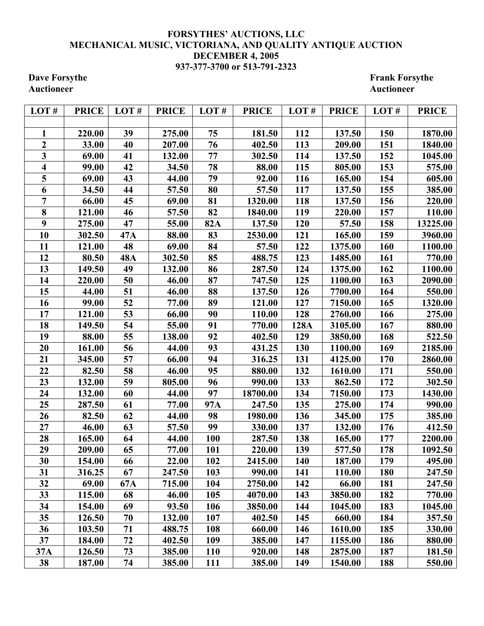## **FORSYTHES' AUCTIONS, LLC MECHANICAL MUSIC, VICTORIANA, AND QUALITY ANTIQUE AUCTION DECEMBER 4, 2005 937-377-3700 or 513-791-2323**

**Dave Forsythe Forsythe Frank Forsythe Frank Forsythe Ructioneer Auctioneer** 

| LOT#           | <b>PRICE</b> | LOT#       | <b>PRICE</b> | LOT#       | <b>PRICE</b> | LOT# | <b>PRICE</b> | LOT# | <b>PRICE</b> |
|----------------|--------------|------------|--------------|------------|--------------|------|--------------|------|--------------|
|                |              |            |              |            |              |      |              |      |              |
| 1              | 220.00       | 39         | 275.00       | 75         | 181.50       | 112  | 137.50       | 150  | 1870.00      |
| $\overline{2}$ | 33.00        | 40         | 207.00       | 76         | 402.50       | 113  | 209.00       | 151  | 1840.00      |
| 3              | 69.00        | 41         | 132.00       | 77         | 302.50       | 114  | 137.50       | 152  | 1045.00      |
| 4              | 99.00        | 42         | 34.50        | 78         | 88.00        | 115  | 805.00       | 153  | 575.00       |
| 5              | 69.00        | 43         | 44.00        | 79         | 92.00        | 116  | 165.00       | 154  | 605.00       |
| 6              | 34.50        | 44         | 57.50        | 80         | 57.50        | 117  | 137.50       | 155  | 385.00       |
| $\overline{7}$ | 66.00        | 45         | 69.00        | 81         | 1320.00      | 118  | 137.50       | 156  | 220.00       |
| 8              | 121.00       | 46         | 57.50        | 82         | 1840.00      | 119  | 220.00       | 157  | 110.00       |
| 9              | 275.00       | 47         | 55.00        | <b>82A</b> | 137.50       | 120  | 57.50        | 158  | 13225.00     |
| 10             | 302.50       | 47A        | 88.00        | 83         | 2530.00      | 121  | 165.00       | 159  | 3960.00      |
| 11             | 121.00       | 48         | 69.00        | 84         | 57.50        | 122  | 1375.00      | 160  | 1100.00      |
| 12             | 80.50        | <b>48A</b> | 302.50       | 85         | 488.75       | 123  | 1485.00      | 161  | 770.00       |
| 13             | 149.50       | 49         | 132.00       | 86         | 287.50       | 124  | 1375.00      | 162  | 1100.00      |
| 14             | 220.00       | 50         | 46.00        | 87         | 747.50       | 125  | 1100.00      | 163  | 2090.00      |
| 15             | 44.00        | 51         | 46.00        | 88         | 137.50       | 126  | 7700.00      | 164  | 550.00       |
| 16             | 99.00        | 52         | 77.00        | 89         | 121.00       | 127  | 7150.00      | 165  | 1320.00      |
| 17             | 121.00       | 53         | 66.00        | 90         | 110.00       | 128  | 2760.00      | 166  | 275.00       |
| 18             | 149.50       | 54         | 55.00        | 91         | 770.00       | 128A | 3105.00      | 167  | 880.00       |
| 19             | 88.00        | 55         | 138.00       | 92         | 402.50       | 129  | 3850.00      | 168  | 522.50       |
| 20             | 161.00       | 56         | 44.00        | 93         | 431.25       | 130  | 1100.00      | 169  | 2185.00      |
| 21             | 345.00       | 57         | 66.00        | 94         | 316.25       | 131  | 4125.00      | 170  | 2860.00      |
| 22             | 82.50        | 58         | 46.00        | 95         | 880.00       | 132  | 1610.00      | 171  | 550.00       |
| 23             | 132.00       | 59         | 805.00       | 96         | 990.00       | 133  | 862.50       | 172  | 302.50       |
| 24             | 132.00       | 60         | 44.00        | 97         | 18700.00     | 134  | 7150.00      | 173  | 1430.00      |
| 25             | 287.50       | 61         | 77.00        | 97A        | 247.50       | 135  | 275.00       | 174  | 990.00       |
| 26             | 82.50        | 62         | 44.00        | 98         | 1980.00      | 136  | 345.00       | 175  | 385.00       |
| 27             | 46.00        | 63         | 57.50        | 99         | 330.00       | 137  | 132.00       | 176  | 412.50       |
| 28             | 165.00       | 64         | 44.00        | 100        | 287.50       | 138  | 165.00       | 177  | 2200.00      |
| 29             | 209.00       | 65         | 77.00        | <b>101</b> | 220.00       | 139  | 577.50       | 178  | 1092.50      |
| 30             | 154.00       | 66         | 22.00        | 102        | 2415.00      | 140  | 187.00       | 179  | 495.00       |
| 31             | 316.25       | 67         | 247.50       | 103        | 990.00       | 141  | 110.00       | 180  | 247.50       |
| 32             | 69.00        | 67A        | 715.00       | 104        | 2750.00      | 142  | 66.00        | 181  | 247.50       |
| 33             | 115.00       | 68         | 46.00        | 105        | 4070.00      | 143  | 3850.00      | 182  | 770.00       |
| 34             | 154.00       | 69         | 93.50        | 106        | 3850.00      | 144  | 1045.00      | 183  | 1045.00      |
| 35             | 126.50       | 70         | 132.00       | 107        | 402.50       | 145  | 660.00       | 184  | 357.50       |
| 36             | 103.50       | 71         | 488.75       | 108        | 660.00       | 146  | 1610.00      | 185  | 330.00       |
| 37             | 184.00       | 72         | 402.50       | 109        | 385.00       | 147  | 1155.00      | 186  | 880.00       |
| 37A            | 126.50       | 73         | 385.00       | <b>110</b> | 920.00       | 148  | 2875.00      | 187  | 181.50       |
| 38             | 187.00       | 74         | 385.00       | <b>111</b> | 385.00       | 149  | 1540.00      | 188  | 550.00       |